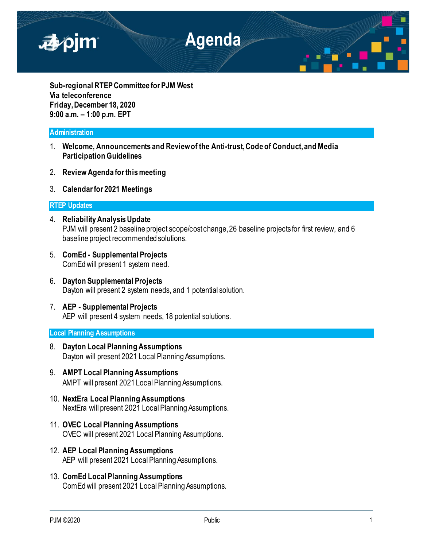

**Sub-regional RTEP Committee for PJM West Via teleconference Friday, December 18, 2020 9:00 a.m. – 1:00 p.m. EPT**

# **Administration**

- 1. **Welcome, Announcements and Review of the Anti-trust, Code of Conduct, and Media Participation Guidelines**
- 2. **Review Agenda for this meeting**
- 3. **Calendar for 2021 Meetings**

## **RTEP Updates**

- 4. **Reliability Analysis Update** PJM will present 2 baseline project scope/cost change, 26 baseline projects for first review, and 6 baseline project recommended solutions.
- 5. **ComEd - Supplemental Projects** ComEd will present 1 system need.
- 6. **Dayton Supplemental Projects** Dayton will present 2 system needs, and 1 potential solution.
- 7. **AEP - Supplemental Projects** AEP will present 4 system needs, 18 potential solutions.

### **Local Planning Assumptions**

- 8. **Dayton Local Planning Assumptions** Dayton will present 2021 Local Planning Assumptions.
- 9. **AMPT Local Planning Assumptions** AMPT will present 2021 Local Planning Assumptions.
- 10. **NextEra Local Planning Assumptions** NextEra will present 2021 Local Planning Assumptions.
- 11. **OVEC Local Planning Assumptions** OVEC will present 2021 Local Planning Assumptions.
- 12. **AEP Local Planning Assumptions** AEP will present 2021 Local Planning Assumptions.
- 13. **ComEd Local Planning Assumptions** ComEd will present 2021 Local Planning Assumptions.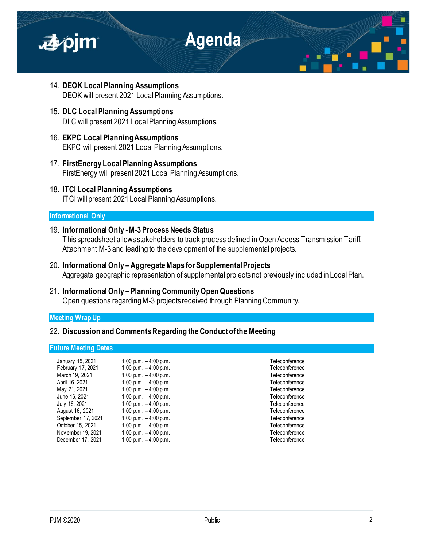

- 14. **DEOK Local Planning Assumptions** DEOK will present 2021 Local Planning Assumptions.
- 15. **DLC Local Planning Assumptions** DLC will present 2021 Local Planning Assumptions.
- 16. **EKPC Local Planning Assumptions** EKPC will present 2021 Local Planning Assumptions.
- 17. **FirstEnergy Local Planning Assumptions** FirstEnergy will present 2021 Local Planning Assumptions.
- 18. **ITCI Local Planning Assumptions** ITCI will present 2021 Local Planning Assumptions.

# **Informational Only**

- 19. **Informational Only -M-3 Process Needs Status** This spreadsheet allows stakeholders to track process defined in Open Access Transmission Tariff, Attachment M-3 and leading to the development of the supplemental projects.
- 20. **Informational Only –Aggregate Maps for Supplemental Projects** Aggregate geographic representation of supplemental projects not previously included in Local Plan.
- 21. **Informational Only – Planning Community Open Questions** Open questions regarding M-3 projects received through Planning Community.

# **Meeting Wrap Up**

# 22. **Discussion and Comments Regarding the Conduct of the Meeting**

### **Future Meeting Dates**

| January 15, 2021   | 1:00 p.m. $-4:00$ p.m. | Teleconference |
|--------------------|------------------------|----------------|
| February 17, 2021  | 1:00 p.m. $-4:00$ p.m. | Teleconference |
| March 19, 2021     | 1:00 p.m. $-4:00$ p.m. | Teleconference |
| April 16, 2021     | 1:00 p.m. $-4:00$ p.m. | Teleconference |
| May 21, 2021       | 1:00 p.m. $-4:00$ p.m. | Teleconference |
| June 16, 2021      | 1:00 p.m. $-4:00$ p.m. | Teleconference |
| July 16, 2021      | 1:00 p.m. $-4:00$ p.m. | Teleconference |
| August 16, 2021    | 1:00 p.m. $-4:00$ p.m. | Teleconference |
| September 17, 2021 | 1:00 p.m. $-4:00$ p.m. | Teleconference |
| October 15, 2021   | 1:00 p.m. $-4:00$ p.m. | Teleconference |
| Nov ember 19, 2021 | 1:00 p.m. $-4:00$ p.m. | Teleconference |
| December 17, 2021  | 1:00 p.m. $-4:00$ p.m. | Teleconference |
|                    |                        |                |